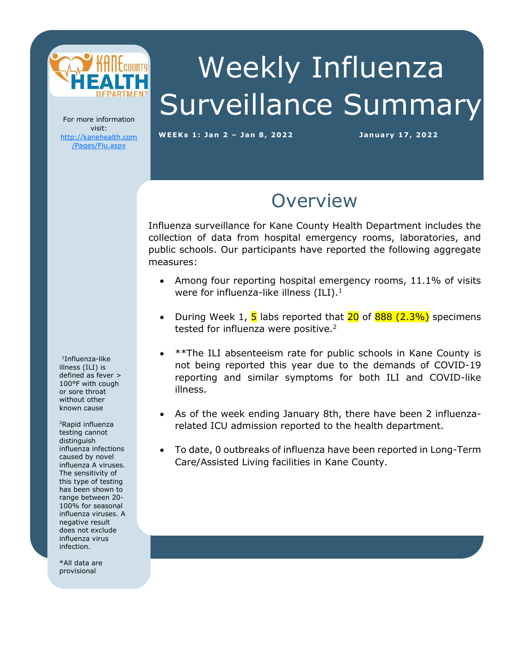

# Weekly Influenza Surveillance Summary

For more information visit: [http://kanehealth.com](http://kanehealth.com/Pages/Flu.aspx) [/Pages/Flu.aspx](http://kanehealth.com/Pages/Flu.aspx)

**WEEKs 1: Ja n 2 – Ja n 8, 2 0 2 2 Ja n uary 17, 2 0 22**

data that make this monitoring possible.

### **Overview**

Influenza surveillance for Kane County Health Department includes the collection of data from hospital emergency rooms, laboratories, and public schools. Our participants have reported the following aggregate measures:

- Among four reporting hospital emergency rooms, 11.1% of visits were for influenza-like illness  $(ILI).<sup>1</sup>$
- During Week 1,  $\overline{5}$  labs reported that  $\overline{20}$  of  $\overline{888}$  (2.3%) specimens tested for influenza were positive.<sup>2</sup>
- \*\*The ILI absenteeism rate for public schools in Kane County is not being reported this year due to the demands of COVID-19 reporting and similar symptoms for both ILI and COVID-like illness.
- As of the week ending January 8th, there have been 2 influenzarelated ICU admission reported to the health department.
- To date, 0 outbreaks of influenza have been reported in Long-Term Care/Assisted Living facilities in Kane County.

1 Influenza-like illness (ILI) is defined as fever > 100°F with cough or sore throat without other known cause

<sup>2</sup>Rapid influenza testing cannot distinguish influenza infections caused by novel influenza A viruses. The sensitivity of this type of testing has been shown to range between 20- 100% for seasonal influenza viruses. A negative result does not exclude influenza virus infection.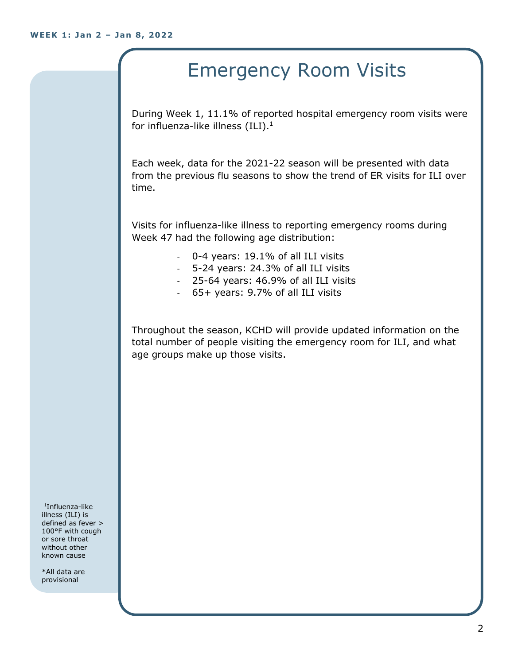## Emergency Room Visits

During Week 1, 11.1% of reported hospital emergency room visits were for influenza-like illness  $(III).<sup>1</sup>$ 

Each week, data for the 2021-22 season will be presented with data from the previous flu seasons to show the trend of ER visits for ILI over time.

Visits for influenza-like illness to reporting emergency rooms during Week 47 had the following age distribution:

- 0-4 years: 19.1% of all ILI visits
- 5-24 years: 24.3% of all ILI visits
- 25-64 years: 46.9% of all ILI visits
- 65+ years: 9.7% of all ILI visits

Throughout the season, KCHD will provide updated information on the total number of people visiting the emergency room for ILI, and what age groups make up those visits.

1 Influenza-like illness (ILI) is defined as fever > 100°F with cough or sore throat without other known cause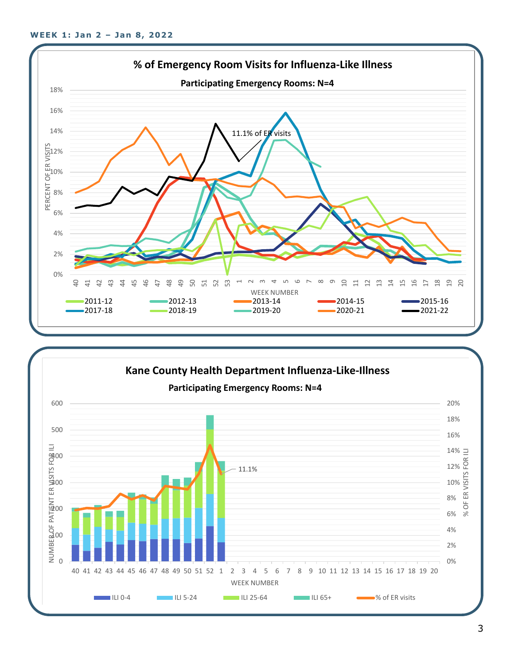

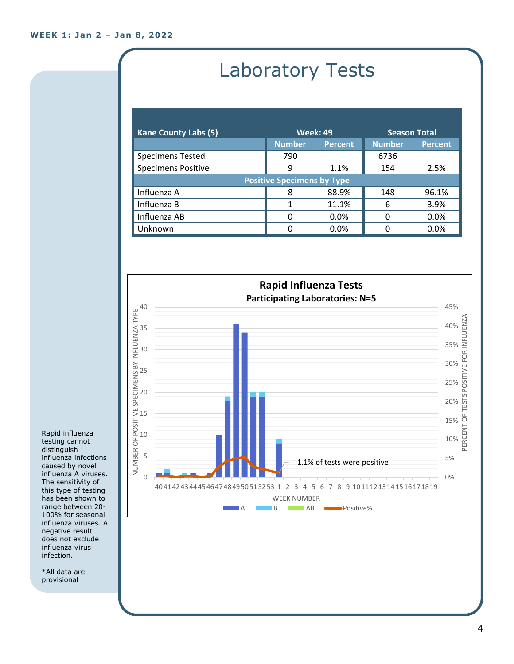# Laboratory Tests

| <b>Kane County Labs (5)</b>       | <b>Week: 49</b> |                | <b>Season Total</b> |                |  |
|-----------------------------------|-----------------|----------------|---------------------|----------------|--|
|                                   | <b>Number</b>   | <b>Percent</b> | <b>Number</b>       | <b>Percent</b> |  |
| <b>Specimens Tested</b>           | 790             |                | 6736                |                |  |
| <b>Specimens Positive</b>         | 9               | 1.1%           | 154                 | 2.5%           |  |
| <b>Positive Specimens by Type</b> |                 |                |                     |                |  |
| Influenza A                       | 8               | 88.9%          | 148                 | 96.1%          |  |
| Influenza B                       |                 | 11.1%          | 6                   | 3.9%           |  |
| Influenza AB                      | 0               | 0.0%           | O                   | 0.0%           |  |
| Unknown                           | O               | 0.0%           |                     | 0.0%           |  |



Rapid influenza testing cannot distinguish influenza infections caused by novel influenza A viruses. The sensitivity of this type of testing has been shown to range between 20- 100% for seasonal influenza viruses. A negative result does not exclude influenza virus infection.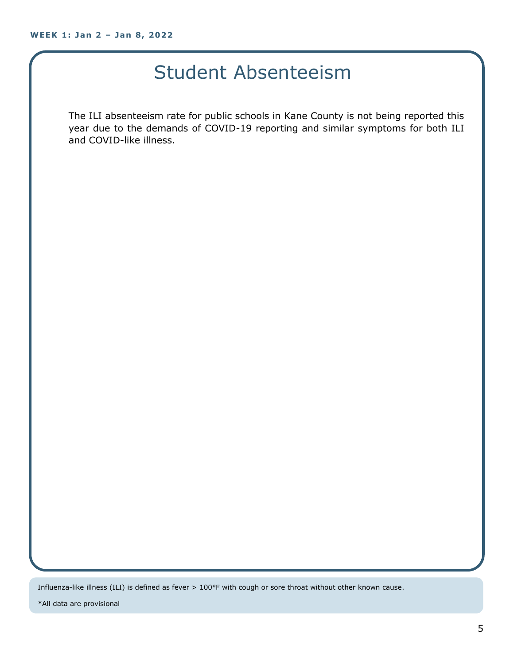#### Student Absenteeism

The ILI absenteeism rate for public schools in Kane County is not being reported this year due to the demands of COVID-19 reporting and similar symptoms for both ILI and COVID-like illness.

Influenza-like illness (ILI) is defined as fever > 100°F with cough or sore throat without other known cause.